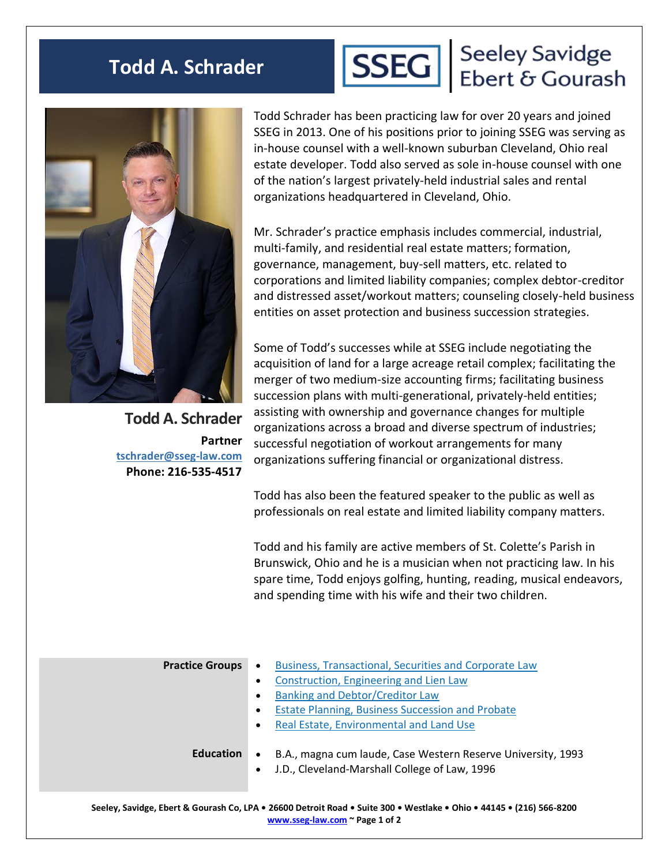## **Todd A. Schrader**



## SSEG | Seeley Savidge<br>
Ebert & Gourash



**Todd A. Schrader Partner [tschrader@sseg-law.com](mailto:tschrader@sseg-law.com) Phone: 216-535-4517**

Todd Schrader has been practicing law for over 20 years and joined SSEG in 2013. One of his positions prior to joining SSEG was serving as in-house counsel with a well-known suburban Cleveland, Ohio real estate developer. Todd also served as sole in-house counsel with one of the nation's largest privately-held industrial sales and rental organizations headquartered in Cleveland, Ohio.

Mr. Schrader's practice emphasis includes commercial, industrial, multi-family, and residential real estate matters; formation, governance, management, buy-sell matters, etc. related to corporations and limited liability companies; complex debtor-creditor and distressed asset/workout matters; counseling closely-held business entities on asset protection and business succession strategies.

Some of Todd's successes while at SSEG include negotiating the acquisition of land for a large acreage retail complex; facilitating the merger of two medium-size accounting firms; facilitating business succession plans with multi-generational, privately-held entities; assisting with ownership and governance changes for multiple organizations across a broad and diverse spectrum of industries; successful negotiation of workout arrangements for many organizations suffering financial or organizational distress.

Todd has also been the featured speaker to the public as well as professionals on real estate and limited liability company matters.

Todd and his family are active members of St. Colette's Parish in Brunswick, Ohio and he is a musician when not practicing law. In his spare time, Todd enjoys golfing, hunting, reading, musical endeavors, and spending time with his wife and their two children.

| <b>Practice Groups</b> | <b>Business, Transactional, Securities and Corporate Law</b><br>$\bullet$<br>Construction, Engineering and Lien Law<br>$\bullet$<br>Banking and Debtor/Creditor Law<br>$\bullet$<br><b>Estate Planning, Business Succession and Probate</b><br>$\bullet$<br>Real Estate, Environmental and Land Use<br>$\bullet$ |
|------------------------|------------------------------------------------------------------------------------------------------------------------------------------------------------------------------------------------------------------------------------------------------------------------------------------------------------------|
| <b>Education</b>       | B.A., magna cum laude, Case Western Reserve University, 1993<br>$\bullet$<br>J.D., Cleveland-Marshall College of Law, 1996<br>$\bullet$                                                                                                                                                                          |
|                        |                                                                                                                                                                                                                                                                                                                  |

**Seeley, Savidge, Ebert & Gourash Co, LPA • 26600 Detroit Road • Suite 300 • Westlake • Ohio • 44145 • (216) 566-8200 [www.sseg-law.com](http://www.sseg-law.com/) ~ Page 1 of 2**